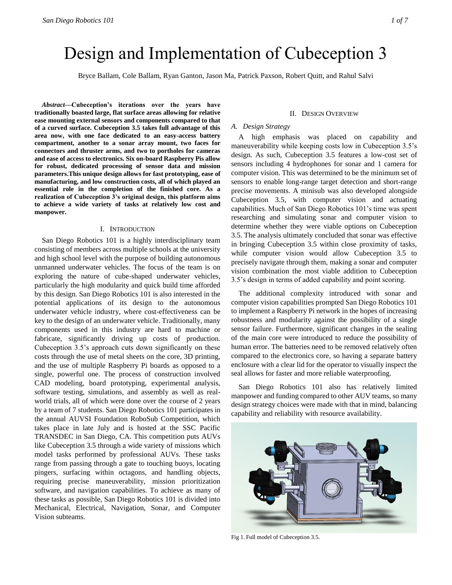# Design and Implementation of Cubeception 3

Bryce Ballam, Cole Ballam, Ryan Ganton, Jason Ma, Patrick Paxson, Robert Quitt, and Rahul Salvi

*Abstract***—Cubeception's iterations over the years have traditionally boasted large, flat surface areas allowing for relative ease mounting external sensors and components compared to that of a curved surface. Cubeception 3.5 takes full advantage of this area now, with one face dedicated to an easy-access battery compartment, another to a sonar array mount, two faces for connectors and thruster arms, and two to portholes for cameras and ease of access to electronics. Six on-board Raspberry Pis allow for robust, dedicated processing of sensor data and mission parameters.This unique design allows for fast prototyping, ease of manufacturing, and low construction costs, all of which played an essential role in the completion of the finished core. As a realization of Cubeception 3's original design, this platform aims to achieve a wide variety of tasks at relatively low cost and manpower.** 

#### I. INTRODUCTION

San Diego Robotics 101 is a highly interdisciplinary team consisting of members across multiple schools at the university and high school level with the purpose of building autonomous unmanned underwater vehicles. The focus of the team is on exploring the nature of cube-shaped underwater vehicles, particularly the high modularity and quick build time afforded by this design. San Diego Robotics 101 is also interested in the potential applications of its design to the autonomous underwater vehicle industry, where cost-effectiveness can be key to the design of an underwater vehicle. Traditionally, many components used in this industry are hard to machine or fabricate, significantly driving up costs of production. Cubeception 3.5's approach cuts down significantly on these costs through the use of metal sheets on the core, 3D printing, and the use of multiple Raspberry Pi boards as opposed to a single, powerful one. The process of construction involved CAD modeling, board prototyping, experimental analysis, software testing, simulations, and assembly as well as realworld trials, all of which were done over the course of 2 years by a team of 7 students. San Diego Robotics 101 participates in the annual AUVSI Foundation RoboSub Competition, which takes place in late July and is hosted at the SSC Pacific TRANSDEC in San Diego, CA. This competition puts AUVs like Cubeception 3.5 through a wide variety of missions which model tasks performed by professional AUVs. These tasks range from passing through a gate to touching buoys, locating pingers, surfacing within octagons, and handling objects, requiring precise maneuverability, mission prioritization software, and navigation capabilities. To achieve as many of these tasks as possible, San Diego Robotics 101 is divided into Mechanical, Electrical, Navigation, Sonar, and Computer Vision subteams.

#### II. DESIGN OVERVIEW

# *A. Design Strategy*

A high emphasis was placed on capability and maneuverability while keeping costs low in Cubeception 3.5's design. As such, Cubeception 3.5 features a low-cost set of sensors including 4 hydrophones for sonar and 1 camera for computer vision. This was determined to be the minimum set of sensors to enable long-range target detection and short-range precise movements. A minisub was also developed alongside Cubeception 3.5, with computer vision and actuating capabilities. Much of San Diego Robotics 101's time was spent researching and simulating sonar and computer vision to determine whether they were viable options on Cubeception 3.5. The analysis ultimately concluded that sonar was effective in bringing Cubeception 3.5 within close proximity of tasks, while computer vision would allow Cubeception 3.5 to precisely navigate through them, making a sonar and computer vision combination the most viable addition to Cubeception 3.5's design in terms of added capability and point scoring.

The additional complexity introduced with sonar and computer vision capabilities prompted San Diego Robotics 101 to implement a Raspberry Pi network in the hopes of increasing robustness and modularity against the possibility of a single sensor failure. Furthermore, significant changes in the sealing of the main core were introduced to reduce the possibility of human error. The batteries need to be removed relatively often compared to the electronics core, so having a separate battery enclosure with a clear lid for the operator to visually inspect the seal allows for faster and more reliable waterproofing.

San Diego Robotics 101 also has relatively limited manpower and funding compared to other AUV teams, so many design strategy choices were made with that in mind, balancing capability and reliability with resource availability.



Fig 1. Full model of Cubeception 3.5.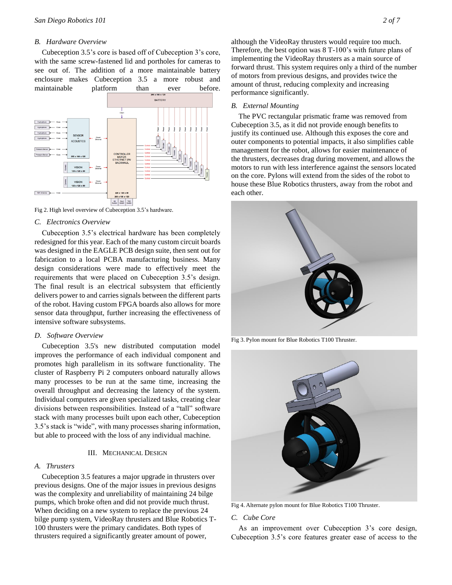# *B. Hardware Overview*

Cubeception 3.5's core is based off of Cubeception 3's core, with the same screw-fastened lid and portholes for cameras to see out of. The addition of a more maintainable battery enclosure makes Cubeception 3.5 a more robust and maintainable platform than ever before.



Fig 2. High level overview of Cubeception 3.5's hardware.

#### *C. Electronics Overview*

Cubeception 3.5's electrical hardware has been completely redesigned for this year. Each of the many custom circuit boards was designed in the EAGLE PCB design suite, then sent out for fabrication to a local PCBA manufacturing business. Many design considerations were made to effectively meet the requirements that were placed on Cubeception 3.5's design. The final result is an electrical subsystem that efficiently delivers power to and carries signals between the different parts of the robot. Having custom FPGA boards also allows for more sensor data throughput, further increasing the effectiveness of intensive software subsystems.

#### *D. Software Overview*

Cubeception 3.5's new distributed computation model improves the performance of each individual component and promotes high parallelism in its software functionality. The cluster of Raspberry Pi 2 computers onboard naturally allows many processes to be run at the same time, increasing the overall throughput and decreasing the latency of the system. Individual computers are given specialized tasks, creating clear divisions between responsibilities. Instead of a "tall" software stack with many processes built upon each other, Cubeception 3.5's stack is "wide", with many processes sharing information, but able to proceed with the loss of any individual machine.

# III. MECHANICAL DESIGN

#### *A. Thrusters*

Cubeception 3.5 features a major upgrade in thrusters over previous designs. One of the major issues in previous designs was the complexity and unreliability of maintaining 24 bilge pumps, which broke often and did not provide much thrust. When deciding on a new system to replace the previous 24 bilge pump system, VideoRay thrusters and Blue Robotics T-100 thrusters were the primary candidates. Both types of thrusters required a significantly greater amount of power,

although the VideoRay thrusters would require too much. Therefore, the best option was 8 T-100's with future plans of implementing the VideoRay thrusters as a main source of forward thrust. This system requires only a third of the number of motors from previous designs, and provides twice the amount of thrust, reducing complexity and increasing performance significantly.

# *B. External Mounting*

The PVC rectangular prismatic frame was removed from Cubeception 3.5, as it did not provide enough benefits to justify its continued use. Although this exposes the core and outer components to potential impacts, it also simplifies cable management for the robot, allows for easier maintenance of the thrusters, decreases drag during movement, and allows the motors to run with less interference against the sensors located on the core. Pylons will extend from the sides of the robot to house these Blue Robotics thrusters, away from the robot and each other.



Fig 3. Pylon mount for Blue Robotics T100 Thruster.



Fig 4. Alternate pylon mount for Blue Robotics T100 Thruster.

#### *C. Cube Core*

As an improvement over Cubeception 3's core design, Cubeception 3.5's core features greater ease of access to the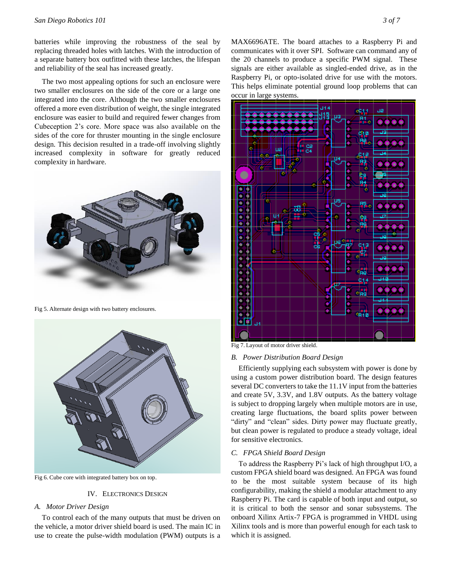batteries while improving the robustness of the seal by replacing threaded holes with latches. With the introduction of a separate battery box outfitted with these latches, the lifespan and reliability of the seal has increased greatly.

The two most appealing options for such an enclosure were two smaller enclosures on the side of the core or a large one integrated into the core. Although the two smaller enclosures offered a more even distribution of weight, the single integrated enclosure was easier to build and required fewer changes from Cubeception 2's core. More space was also available on the sides of the core for thruster mounting in the single enclosure design. This decision resulted in a trade-off involving slightly increased complexity in software for greatly reduced complexity in hardware.



Fig 5. Alternate design with two battery enclosures.



Fig 6. Cube core with integrated battery box on top.

# IV. ELECTRONICS DESIGN

# *A. Motor Driver Design*

To control each of the many outputs that must be driven on the vehicle, a motor driver shield board is used. The main IC in use to create the pulse-width modulation (PWM) outputs is a

MAX6696ATE. The board attaches to a Raspberry Pi and communicates with it over SPI. Software can command any of the 20 channels to produce a specific PWM signal. These signals are either available as singled-ended drive, as in the Raspberry Pi, or opto-isolated drive for use with the motors. This helps eliminate potential ground loop problems that can occur in large systems.



Fig 7. Layout of motor driver shield.

# *B. Power Distribution Board Design*

Efficiently supplying each subsystem with power is done by using a custom power distribution board. The design features several DC converters to take the 11.1V input from the batteries and create 5V, 3.3V, and 1.8V outputs. As the battery voltage is subject to dropping largely when multiple motors are in use, creating large fluctuations, the board splits power between "dirty" and "clean" sides. Dirty power may fluctuate greatly, but clean power is regulated to produce a steady voltage, ideal for sensitive electronics.

# *C. FPGA Shield Board Design*

To address the Raspberry Pi's lack of high throughput I/O, a custom FPGA shield board was designed. An FPGA was found to be the most suitable system because of its high configurability, making the shield a modular attachment to any Raspberry Pi. The card is capable of both input and output, so it is critical to both the sensor and sonar subsystems. The onboard Xilinx Artix-7 FPGA is programmed in VHDL using Xilinx tools and is more than powerful enough for each task to which it is assigned.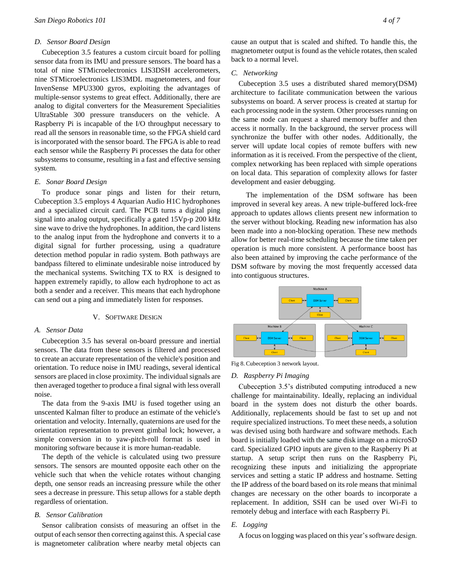# *D. Sensor Board Design*

Cubeception 3.5 features a custom circuit board for polling sensor data from its IMU and pressure sensors. The board has a total of nine STMicroelectronics LIS3DSH accelerometers, nine STMicroelectronics LIS3MDL magnetometers, and four InvenSense MPU3300 gyros, exploiting the advantages of multiple-sensor systems to great effect. Additionally, there are analog to digital converters for the Measurement Specialities UltraStable 300 pressure transducers on the vehicle. A Raspberry Pi is incapable of the I/O throughput necessary to read all the sensors in reasonable time, so the FPGA shield card is incorporated with the sensor board. The FPGA is able to read each sensor while the Raspberry Pi processes the data for other subsystems to consume, resulting in a fast and effective sensing system.

#### *E. Sonar Board Design*

To produce sonar pings and listen for their return, Cubeception 3.5 employs 4 Aquarian Audio H1C hydrophones and a specialized circuit card. The PCB turns a digital ping signal into analog output, specifically a gated 15Vp-p 200 kHz sine wave to drive the hydrophones. In addition, the card listens to the analog input from the hydrophone and converts it to a digital signal for further processing, using a quadrature detection method popular in radio system. Both pathways are bandpass filtered to eliminate undesirable noise introduced by the mechanical systems. Switching TX to RX is designed to happen extremely rapidly, to allow each hydrophone to act as both a sender and a receiver. This means that each hydrophone can send out a ping and immediately listen for responses.

# V. SOFTWARE DESIGN

# *A. Sensor Data*

Cubeception 3.5 has several on-board pressure and inertial sensors. The data from these sensors is filtered and processed to create an accurate representation of the vehicle's position and orientation. To reduce noise in IMU readings, several identical sensors are placed in close proximity. The individual signals are then averaged together to produce a final signal with less overall noise.

The data from the 9-axis IMU is fused together using an unscented Kalman filter to produce an estimate of the vehicle's orientation and velocity. Internally, quaternions are used for the orientation representation to prevent gimbal lock; however, a simple conversion in to yaw-pitch-roll format is used in monitoring software because it is more human-readable.

The depth of the vehicle is calculated using two pressure sensors. The sensors are mounted opposite each other on the vehicle such that when the vehicle rotates without changing depth, one sensor reads an increasing pressure while the other sees a decrease in pressure. This setup allows for a stable depth regardless of orientation.

# *B. Sensor Calibration*

Sensor calibration consists of measuring an offset in the output of each sensor then correcting against this. A special case is magnetometer calibration where nearby metal objects can cause an output that is scaled and shifted. To handle this, the magnetometer output is found as the vehicle rotates, then scaled back to a normal level.

#### *C. Networking*

Cubeception 3.5 uses a distributed shared memory(DSM) architecture to facilitate communication between the various subsystems on board. A server process is created at startup for each processing node in the system. Other processes running on the same node can request a shared memory buffer and then access it normally. In the background, the server process will synchronize the buffer with other nodes. Additionally, the server will update local copies of remote buffers with new information as it is received. From the perspective of the client, complex networking has been replaced with simple operations on local data. This separation of complexity allows for faster development and easier debugging.

 The implementation of the DSM software has been improved in several key areas. A new triple-buffered lock-free approach to updates allows clients present new information to the server without blocking. Reading new information has also been made into a non-blocking operation. These new methods allow for better real-time scheduling because the time taken per operation is much more consistent. A performance boost has also been attained by improving the cache performance of the DSM software by moving the most frequently accessed data into contiguous structures.



Fig 8. Cubeception 3 network layout.

#### *D. Raspberry Pi Imaging*

Cubeception 3.5's distributed computing introduced a new challenge for maintainability. Ideally, replacing an individual board in the system does not disturb the other boards. Additionally, replacements should be fast to set up and not require specialized instructions. To meet these needs, a solution was devised using both hardware and software methods. Each board is initially loaded with the same disk image on a microSD card. Specialized GPIO inputs are given to the Raspberry Pi at startup. A setup script then runs on the Raspberry Pi, recognizing these inputs and initializing the appropriate services and setting a static IP address and hostname. Setting the IP address of the board based on its role means that minimal changes are necessary on the other boards to incorporate a replacement. In addition, SSH can be used over Wi-Fi to remotely debug and interface with each Raspberry Pi.

#### *E. Logging*

A focus on logging was placed on this year's software design.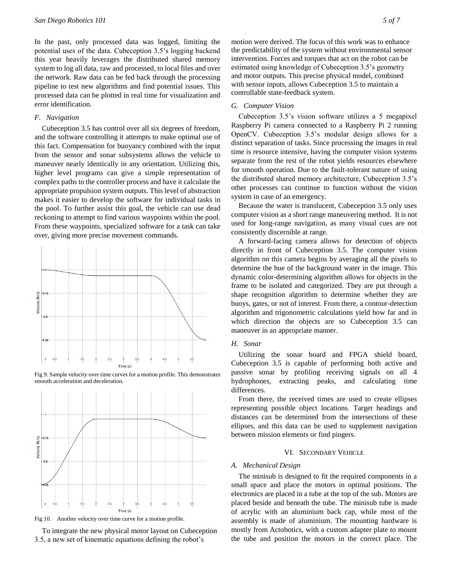In the past, only processed data was logged, limiting the potential uses of the data. Cubeception 3.5's logging backend this year heavily leverages the distributed shared memory system to log all data, raw and processed, to local files and over the network. Raw data can be fed back through the processing pipeline to test new algorithms and find potential issues. This processed data can be plotted in real time for visualization and error identification.

# *F. Navigation*

Cubeception 3.5 has control over all six degrees of freedom, and the software controlling it attempts to make optimal use of this fact. Compensation for buoyancy combined with the input from the sensor and sonar subsystems allows the vehicle to maneuver nearly identically in any orientation. Utilizing this, higher level programs can give a simple representation of complex paths to the controller process and have it calculate the appropriate propulsion system outputs. This level of abstraction makes it easier to develop the software for individual tasks in the pool. To further assist this goal, the vehicle can use dead reckoning to attempt to find various waypoints within the pool. From these waypoints, specialized software for a task can take over, giving more precise movement commands.



Fig 9. Sample velocity over time curves for a motion profile. This demonstrates smooth acceleration and deceleration.



Fig 10. Another velocity over time curve for a motion profile.

To integrate the new physical motor layout on Cubeception 3.5, a new set of kinematic equations defining the robot's

motion were derived. The focus of this work was to enhance the predictability of the system without environmental sensor intervention. Forces and torques that act on the robot can be estimated using knowledge of Cubeception 3.5's geometry and motor outputs. This precise physical model, combined with sensor inputs, allows Cubeception 3.5 to maintain a controllable state-feedback system.

# *G. Computer Vision*

Cubeception 3.5's vision software utilizes a 5 megapixel Raspberry Pi camera connected to a Raspberry Pi 2 running OpenCV. Cubeception 3.5's modular design allows for a distinct separation of tasks. Since processing the images in real time is resource intensive, having the computer vision systems separate from the rest of the robot yields resources elsewhere for smooth operation. Due to the fault-tolerant nature of using the distributed shared memory architecture, Cubeception 3.5's other processes can continue to function without the vision system in case of an emergency.

Because the water is translucent, Cubeception 3.5 only uses computer vision as a short range maneuvering method. It is not used for long-range navigation, as many visual cues are not consistently discernible at range.

A forward-facing camera allows for detection of objects directly in front of Cubeception 3.5. The computer vision algorithm on this camera begins by averaging all the pixels to determine the hue of the background water in the image. This dynamic color-determining algorithm allows for objects in the frame to be isolated and categorized. They are put through a shape recognition algorithm to determine whether they are buoys, gates, or not of interest. From there, a contour-detection algorithm and trigonometric calculations yield how far and in which direction the objects are so Cubeception 3.5 can maneuver in an appropriate manner.

# *H. Sonar*

Utilizing the sonar board and FPGA shield board, Cubeception 3.5 is capable of performing both active and passive sonar by profiling receiving signals on all 4 hydrophones, extracting peaks, and calculating time differences.

From there, the received times are used to create ellipses representing possible object locations. Target headings and distances can be determined from the intersections of these ellipses, and this data can be used to supplement navigation between mission elements or find pingers.

#### VI. SECONDARY VEHICLE

#### *A. Mechanical Design*

The minisub is designed to fit the required components in a small space and place the motors in optimal positions. The electronics are placed in a tube at the top of the sub. Motors are placed beside and beneath the tube. The minisub tube is made of acrylic with an aluminium back cap, while most of the assembly is made of aluminium. The mounting hardware is mostly from Actobotics, with a custom adapter plate to mount the tube and position the motors in the correct place. The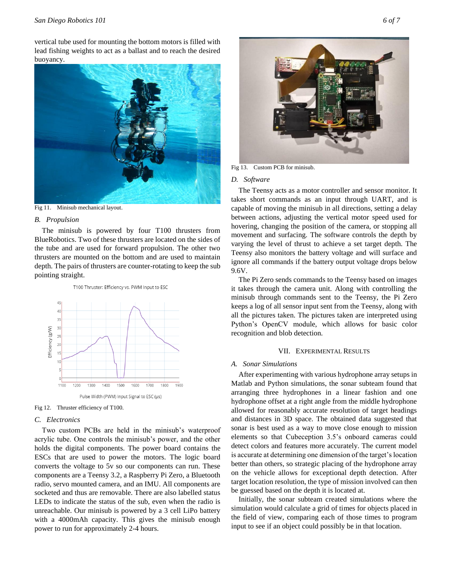vertical tube used for mounting the bottom motors is filled with lead fishing weights to act as a ballast and to reach the desired buoyancy.



Fig 11. Minisub mechanical layout.

#### *B. Propulsion*

The minisub is powered by four T100 thrusters from BlueRobotics. Two of these thrusters are located on the sides of the tube and are used for forward propulsion. The other two thrusters are mounted on the bottom and are used to maintain depth. The pairs of thrusters are counter-rotating to keep the sub pointing straight.



Fig 12. Thruster efficiency of T100.

# *C. Electronics*

Two custom PCBs are held in the minisub's waterproof acrylic tube. One controls the minisub's power, and the other holds the digital components. The power board contains the ESCs that are used to power the motors. The logic board converts the voltage to 5v so our components can run. These components are a Teensy 3.2, a Raspberry Pi Zero, a Bluetooth radio, servo mounted camera, and an IMU. All components are socketed and thus are removable. There are also labelled status LEDs to indicate the status of the sub, even when the radio is unreachable. Our minisub is powered by a 3 cell LiPo battery with a 4000mAh capacity. This gives the minisub enough power to run for approximately 2-4 hours.



Fig 13. Custom PCB for minisub.

#### *D. Software*

The Teensy acts as a motor controller and sensor monitor. It takes short commands as an input through UART, and is capable of moving the minisub in all directions, setting a delay between actions, adjusting the vertical motor speed used for hovering, changing the position of the camera, or stopping all movement and surfacing. The software controls the depth by varying the level of thrust to achieve a set target depth. The Teensy also monitors the battery voltage and will surface and ignore all commands if the battery output voltage drops below 9.6V.

The Pi Zero sends commands to the Teensy based on images it takes through the camera unit. Along with controlling the minisub through commands sent to the Teensy, the Pi Zero keeps a log of all sensor input sent from the Teensy, along with all the pictures taken. The pictures taken are interpreted using Python's OpenCV module, which allows for basic color recognition and blob detection.

#### VII. EXPERIMENTAL RESULTS

#### *A. Sonar Simulations*

After experimenting with various hydrophone array setups in Matlab and Python simulations, the sonar subteam found that arranging three hydrophones in a linear fashion and one hydrophone offset at a right angle from the middle hydrophone allowed for reasonably accurate resolution of target headings and distances in 3D space. The obtained data suggested that sonar is best used as a way to move close enough to mission elements so that Cubeception 3.5's onboard cameras could detect colors and features more accurately. The current model is accurate at determining one dimension of the target's location better than others, so strategic placing of the hydrophone array on the vehicle allows for exceptional depth detection. After target location resolution, the type of mission involved can then be guessed based on the depth it is located at.

Initially, the sonar subteam created simulations where the simulation would calculate a grid of times for objects placed in the field of view, comparing each of those times to program input to see if an object could possibly be in that location.